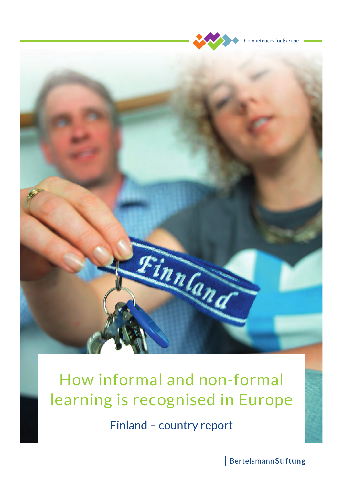

**Competences for Europe** 



# How informal and non-formal learning is recognised in Europe

Finland – country report

BertelsmannStiftung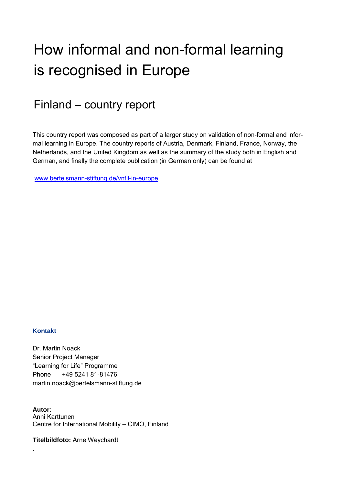## How informal and non-formal learning is recognised in Europe

Finland – country report

This country report was composed as part of a larger study on validation of non-formal and informal learning in Europe. The country reports of Austria, Denmark, Finland, France, Norway, the Netherlands, and the United Kingdom as well as the summary of the study both in English and German, and finally the complete publication (in German only) can be found at

[www.bertelsmann-stiftung.de/vnfil-in-europe.](http://www.bertelsmann-stiftung.de/vnfil-in-europe)

#### **Kontakt**

.

Dr. Martin Noack Senior Project Manager "Learning for Life" Programme Phone +49 5241 81-81476 martin.noack@bertelsmann-stiftung.de

**Autor**: Anni Karttunen Centre for International Mobility – CIMO, Finland

**Titelbildfoto:** Arne Weychardt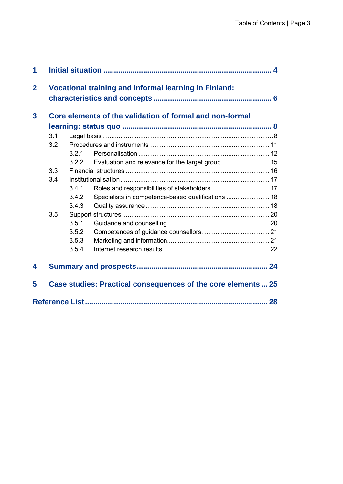| 3.1 |       |                                                    |                                                                                                                                                                |
|-----|-------|----------------------------------------------------|----------------------------------------------------------------------------------------------------------------------------------------------------------------|
| 3.2 |       |                                                    |                                                                                                                                                                |
|     | 321   |                                                    |                                                                                                                                                                |
|     | 3.2.2 |                                                    |                                                                                                                                                                |
| 3.3 |       |                                                    |                                                                                                                                                                |
| 3.4 |       |                                                    |                                                                                                                                                                |
|     | 3.4.1 |                                                    |                                                                                                                                                                |
|     | 3.4.2 | Specialists in competence-based qualifications  18 |                                                                                                                                                                |
|     | 3.4.3 |                                                    |                                                                                                                                                                |
| 3.5 |       |                                                    |                                                                                                                                                                |
|     | 3.5.1 |                                                    |                                                                                                                                                                |
|     | 3.5.2 |                                                    |                                                                                                                                                                |
|     | 3.5.3 |                                                    |                                                                                                                                                                |
|     | 3.5.4 |                                                    |                                                                                                                                                                |
|     |       |                                                    |                                                                                                                                                                |
|     |       |                                                    | Core elements of the validation of formal and non-formal<br>Evaluation and relevance for the target group 15<br>Roles and responsibilities of stakeholders  17 |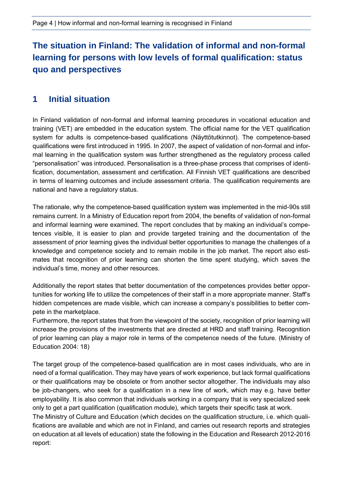## **The situation in Finland: The validation of informal and non-formal learning for persons with low levels of formal qualification: status quo and perspectives**

## <span id="page-5-0"></span>**1 Initial situation**

In Finland validation of non-formal and informal learning procedures in vocational education and training (VET) are embedded in the education system. The official name for the VET qualification system for adults is competence-based qualifications (Näyttötutkinnot). The competence-based qualifications were first introduced in 1995. In 2007, the aspect of validation of non-formal and informal learning in the qualification system was further strengthened as the regulatory process called "personalisation" was introduced. Personalisation is a three-phase process that comprises of identification, documentation, assessment and certification. All Finnish VET qualifications are described in terms of learning outcomes and include assessment criteria. The qualification requirements are national and have a regulatory status.

The rationale, why the competence-based qualification system was implemented in the mid-90s still remains current. In a Ministry of Education report from 2004, the benefits of validation of non-formal and informal learning were examined. The report concludes that by making an individual's competences visible, it is easier to plan and provide targeted training and the documentation of the assessment of prior learning gives the individual better opportunities to manage the challenges of a knowledge and competence society and to remain mobile in the job market. The report also estimates that recognition of prior learning can shorten the time spent studying, which saves the individual's time, money and other resources.

Additionally the report states that better documentation of the competences provides better opportunities for working life to utilize the competences of their staff in a more appropriate manner. Staff's hidden competences are made visible, which can increase a company's possibilities to better compete in the marketplace.

Furthermore, the report states that from the viewpoint of the society, recognition of prior learning will increase the provisions of the investments that are directed at HRD and staff training. Recognition of prior learning can play a major role in terms of the competence needs of the future. (Ministry of Education 2004: 18)

The target group of the competence-based qualification are in most cases individuals, who are in need of a formal qualification. They may have years of work experience, but lack formal qualifications or their qualifications may be obsolete or from another sector altogether. The individuals may also be job-changers, who seek for a qualification in a new line of work, which may e.g. have better employability. It is also common that individuals working in a company that is very specialized seek only to get a part qualification (qualification module), which targets their specific task at work.

The Ministry of Culture and Education (which decides on the qualification structure, i.e. which qualifications are available and which are not in Finland, and carries out research reports and strategies on education at all levels of education) state the following in the Education and Research 2012-2016 report: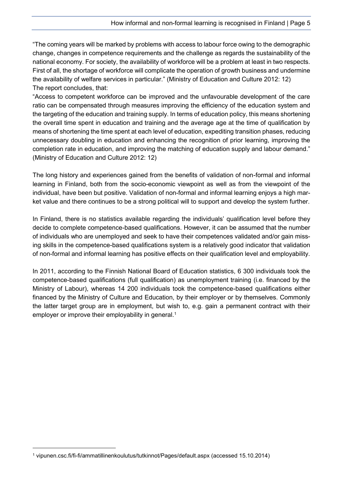"The coming years will be marked by problems with access to labour force owing to the demographic change, changes in competence requirements and the challenge as regards the sustainability of the national economy. For society, the availability of workforce will be a problem at least in two respects. First of all, the shortage of workforce will complicate the operation of growth business and undermine the availability of welfare services in particular." (Ministry of Education and Culture 2012: 12) The report concludes, that:

"Access to competent workforce can be improved and the unfavourable development of the care ratio can be compensated through measures improving the efficiency of the education system and the targeting of the education and training supply. In terms of education policy, this means shortening the overall time spent in education and training and the average age at the time of qualification by means of shortening the time spent at each level of education, expediting transition phases, reducing unnecessary doubling in education and enhancing the recognition of prior learning, improving the completion rate in education, and improving the matching of education supply and labour demand." (Ministry of Education and Culture 2012: 12)

The long history and experiences gained from the benefits of validation of non-formal and informal learning in Finland, both from the socio-economic viewpoint as well as from the viewpoint of the individual, have been but positive. Validation of non-formal and informal learning enjoys a high market value and there continues to be a strong political will to support and develop the system further.

In Finland, there is no statistics available regarding the individuals' qualification level before they decide to complete competence-based qualifications. However, it can be assumed that the number of individuals who are unemployed and seek to have their competences validated and/or gain missing skills in the competence-based qualifications system is a relatively good indicator that validation of non-formal and informal learning has positive effects on their qualification level and employability.

In 2011, according to the Finnish National Board of Education statistics, 6 300 individuals took the competence-based qualifications (full qualification) as unemployment training (i.e. financed by the Ministry of Labour), whereas 14 200 individuals took the competence-based qualifications either financed by the Ministry of Culture and Education, by their employer or by themselves. Commonly the latter target group are in employment, but wish to, e.g. gain a permanent contract with their employer or improve their employability in general.<sup>1</sup>

-

<sup>1</sup> vipunen.csc.fi/fi-fi/ammatillinenkoulutus/tutkinnot/Pages/default.aspx (accessed 15.10.2014)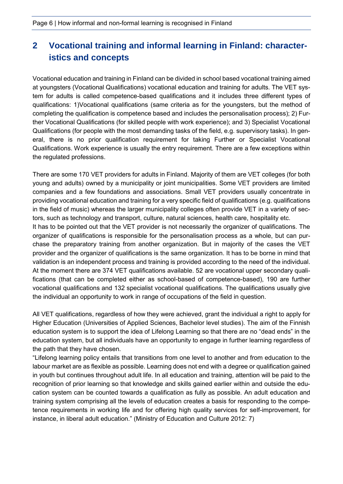## <span id="page-7-0"></span>**2 Vocational training and informal learning in Finland: characteristics and concepts**

Vocational education and training in Finland can be divided in school based vocational training aimed at youngsters (Vocational Qualifications) vocational education and training for adults. The VET system for adults is called competence-based qualifications and it includes three different types of qualifications: 1)Vocational qualifications (same criteria as for the youngsters, but the method of completing the qualification is competence based and includes the personalisation process); 2) Further Vocational Qualifications (for skilled people with work experience); and 3) Specialist Vocational Qualifications (for people with the most demanding tasks of the field, e.g. supervisory tasks). In general, there is no prior qualification requirement for taking Further or Specialist Vocational Qualifications. Work experience is usually the entry requirement. There are a few exceptions within the regulated professions.

There are some 170 VET providers for adults in Finland. Majority of them are VET colleges (for both young and adults) owned by a municipality or joint municipalities. Some VET providers are limited companies and a few foundations and associations. Small VET providers usually concentrate in providing vocational education and training for a very specific field of qualifications (e.g. qualifications in the field of music) whereas the larger municipality colleges often provide VET in a variety of sectors, such as technology and transport, culture, natural sciences, health care, hospitality etc.

It has to be pointed out that the VET provider is not necessarily the organizer of qualifications. The organizer of qualifications is responsible for the personalisation process as a whole, but can purchase the preparatory training from another organization. But in majority of the cases the VET provider and the organizer of qualifications is the same organization. It has to be borne in mind that validation is an independent process and training is provided according to the need of the individual. At the moment there are 374 VET qualifications available. 52 are vocational upper secondary qualifications (that can be completed either as school-based of competence-based), 190 are further vocational qualifications and 132 specialist vocational qualifications. The qualifications usually give the individual an opportunity to work in range of occupations of the field in question.

All VET qualifications, regardless of how they were achieved, grant the individual a right to apply for Higher Education (Universities of Applied Sciences, Bachelor level studies). The aim of the Finnish education system is to support the idea of Lifelong Learning so that there are no "dead ends" in the education system, but all individuals have an opportunity to engage in further learning regardless of the path that they have chosen.

"Lifelong learning policy entails that transitions from one level to another and from education to the labour market are as flexible as possible. Learning does not end with a degree or qualification gained in youth but continues throughout adult life. In all education and training, attention will be paid to the recognition of prior learning so that knowledge and skills gained earlier within and outside the education system can be counted towards a qualification as fully as possible. An adult education and training system comprising all the levels of education creates a basis for responding to the competence requirements in working life and for offering high quality services for self-improvement, for instance, in liberal adult education." (Ministry of Education and Culture 2012: 7)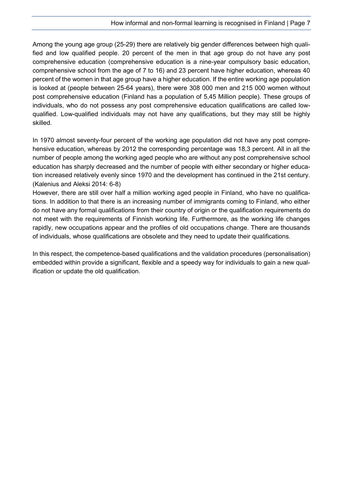Among the young age group (25-29) there are relatively big gender differences between high qualified and low qualified people. 20 percent of the men in that age group do not have any post comprehensive education (comprehensive education is a nine-year compulsory basic education, comprehensive school from the age of 7 to 16) and 23 percent have higher education, whereas 40 percent of the women in that age group have a higher education. If the entire working age population is looked at (people between 25-64 years), there were 308 000 men and 215 000 women without post comprehensive education (Finland has a population of 5,45 Million people). These groups of individuals, who do not possess any post comprehensive education qualifications are called lowqualified. Low-qualified individuals may not have any qualifications, but they may still be highly skilled.

In 1970 almost seventy-four percent of the working age population did not have any post comprehensive education, whereas by 2012 the corresponding percentage was 18,3 percent. All in all the number of people among the working aged people who are without any post comprehensive school education has sharply decreased and the number of people with either secondary or higher education increased relatively evenly since 1970 and the development has continued in the 21st century. (Kalenius and Aleksi 2014: 6-8)

However, there are still over half a million working aged people in Finland, who have no qualifications. In addition to that there is an increasing number of immigrants coming to Finland, who either do not have any formal qualifications from their country of origin or the qualification requirements do not meet with the requirements of Finnish working life. Furthermore, as the working life changes rapidly, new occupations appear and the profiles of old occupations change. There are thousands of individuals, whose qualifications are obsolete and they need to update their qualifications.

In this respect, the competence-based qualifications and the validation procedures (personalisation) embedded within provide a significant, flexible and a speedy way for individuals to gain a new qualification or update the old qualification.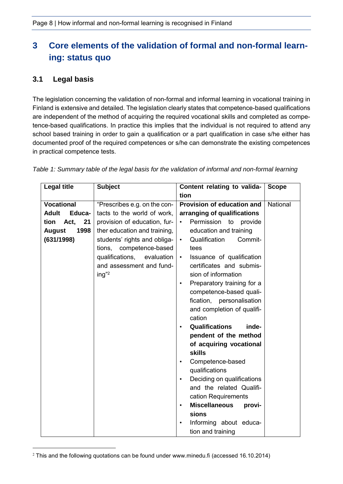## <span id="page-9-0"></span>**3 Core elements of the validation of formal and non-formal learning: status quo**

#### <span id="page-9-1"></span>**3.1 Legal basis**

-

The legislation concerning the validation of non-formal and informal learning in vocational training in Finland is extensive and detailed. The legislation clearly states that competence-based qualifications are independent of the method of acquiring the required vocational skills and completed as competence-based qualifications. In practice this implies that the individual is not required to attend any school based training in order to gain a qualification or a part qualification in case s/he either has documented proof of the required competences or s/he can demonstrate the existing competences in practical competence tests.

| <b>Legal title</b>     | <b>Subject</b>                                                                                                                            | Content relating to valida-                                                                                                                                                                                                                                                                                                                                                                                                                                                                                                                         | <b>Scope</b> |
|------------------------|-------------------------------------------------------------------------------------------------------------------------------------------|-----------------------------------------------------------------------------------------------------------------------------------------------------------------------------------------------------------------------------------------------------------------------------------------------------------------------------------------------------------------------------------------------------------------------------------------------------------------------------------------------------------------------------------------------------|--------------|
|                        |                                                                                                                                           | tion                                                                                                                                                                                                                                                                                                                                                                                                                                                                                                                                                |              |
| <b>Vocational</b>      | "Prescribes e.g. on the con-                                                                                                              | Provision of education and                                                                                                                                                                                                                                                                                                                                                                                                                                                                                                                          | National     |
| <b>Adult</b><br>Educa- | tacts to the world of work,                                                                                                               | arranging of qualifications                                                                                                                                                                                                                                                                                                                                                                                                                                                                                                                         |              |
| Act,<br>tion<br>21     | provision of education, fur-                                                                                                              | Permission<br>to<br>provide<br>$\bullet$                                                                                                                                                                                                                                                                                                                                                                                                                                                                                                            |              |
| 1998<br><b>August</b>  | ther education and training,                                                                                                              | education and training                                                                                                                                                                                                                                                                                                                                                                                                                                                                                                                              |              |
| (631/1998)             | students' rights and obliga-<br>tions, competence-based<br>qualifications,<br>evaluation<br>and assessment and fund-<br>ing" <sup>2</sup> | Qualification<br>Commit-<br>$\bullet$<br>tees<br>Issuance of qualification<br>$\bullet$<br>certificates and submis-<br>sion of information<br>Preparatory training for a<br>$\bullet$<br>competence-based quali-<br>fication, personalisation<br>and completion of qualifi-<br>cation<br>Qualifications<br>inde-<br>$\bullet$<br>pendent of the method<br>of acquiring vocational<br><b>skills</b><br>Competence-based<br>$\bullet$<br>qualifications<br>Deciding on qualifications<br>$\bullet$<br>and the related Qualifi-<br>cation Requirements |              |
|                        |                                                                                                                                           | <b>Miscellaneous</b><br>provi-<br>$\bullet$                                                                                                                                                                                                                                                                                                                                                                                                                                                                                                         |              |
|                        |                                                                                                                                           | sions                                                                                                                                                                                                                                                                                                                                                                                                                                                                                                                                               |              |
|                        |                                                                                                                                           | Informing about educa-<br>$\bullet$                                                                                                                                                                                                                                                                                                                                                                                                                                                                                                                 |              |
|                        |                                                                                                                                           | tion and training                                                                                                                                                                                                                                                                                                                                                                                                                                                                                                                                   |              |

*Table 1: Summary table of the legal basis for the validation of informal and non-formal learning* 

<sup>&</sup>lt;sup>2</sup> This and the following quotations can be found under www.minedu.fi (accessed 16.10.2014)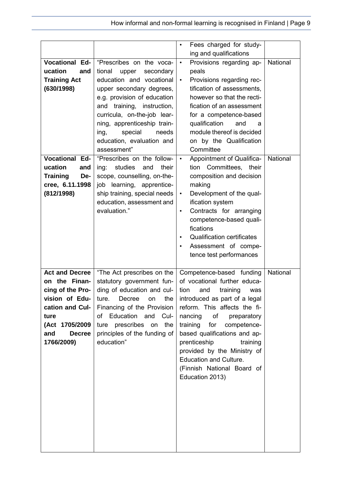|                                   |                                 | Fees charged for study-<br>$\bullet$           |          |
|-----------------------------------|---------------------------------|------------------------------------------------|----------|
|                                   |                                 | ing and qualifications                         |          |
| <b>Vocational Ed-</b>             | "Prescribes on the voca-        | Provisions regarding ap-<br>$\bullet$          | National |
| ucation<br>and                    | tional<br>upper<br>secondary    | peals                                          |          |
| <b>Training Act</b>               | education and vocational        | Provisions regarding rec-<br>$\bullet$         |          |
| (630/1998)                        | upper secondary degrees,        | tification of assessments,                     |          |
|                                   | e.g. provision of education     | however so that the recti-                     |          |
|                                   | and training, instruction,      | fication of an assessment                      |          |
|                                   | curricula, on-the-job lear-     | for a competence-based                         |          |
|                                   | ning, apprenticeship train-     | qualification<br>and<br>a                      |          |
|                                   | special<br>needs<br>ing,        | module thereof is decided                      |          |
|                                   | education, evaluation and       | on by the Qualification                        |          |
|                                   | assessment"                     | Committee                                      |          |
| <b>Vocational Ed-</b>             | "Prescribes on the follow-      | Appointment of Qualifica-<br>$\bullet$         | National |
| ucation<br>and                    | studies<br>and<br>their<br>ing: | tion Committees, their                         |          |
| <b>Training</b><br>De-            | scope, counselling, on-the-     | composition and decision                       |          |
| cree, 6.11.1998                   | job learning, apprentice-       | making                                         |          |
| (812/1998)                        | ship training, special needs    | Development of the qual-<br>$\bullet$          |          |
|                                   | education, assessment and       | ification system                               |          |
|                                   | evaluation."                    | Contracts for arranging<br>$\bullet$           |          |
|                                   |                                 | competence-based quali-                        |          |
|                                   |                                 | fications                                      |          |
|                                   |                                 | <b>Qualification certificates</b><br>$\bullet$ |          |
|                                   |                                 | Assessment of compe-                           |          |
|                                   |                                 | tence test performances                        |          |
|                                   |                                 |                                                |          |
| <b>Act and Decree</b>             | "The Act prescribes on the      | Competence-based funding                       | National |
| on the Finan-                     | statutory government fun-       | of vocational further educa-                   |          |
|                                   | ding of education and cul-      | tion<br>training<br>and<br>was                 |          |
| cing of the Pro-                  |                                 |                                                |          |
|                                   | ture.<br>on.                    |                                                |          |
| vision of Edu-<br>cation and Cul- | the<br>Decree                   | introduced as part of a legal                  |          |
|                                   | Financing of the Provision      | reform. This affects the fi-                   |          |
| ture                              | of Education and Cul-           | nancing<br>of<br>preparatory                   |          |
| (Act 1705/2009<br><b>Decree</b>   | ture prescribes on the          | training<br>for<br>competence-                 |          |
| and                               | principles of the funding of    | based qualifications and ap-                   |          |
| 1766/2009)                        | education"                      | prenticeship<br>training                       |          |
|                                   |                                 | provided by the Ministry of                    |          |
|                                   |                                 | <b>Education and Culture.</b>                  |          |
|                                   |                                 | (Finnish National Board of                     |          |
|                                   |                                 | Education 2013)                                |          |
|                                   |                                 |                                                |          |
|                                   |                                 |                                                |          |
|                                   |                                 |                                                |          |
|                                   |                                 |                                                |          |
|                                   |                                 |                                                |          |
|                                   |                                 |                                                |          |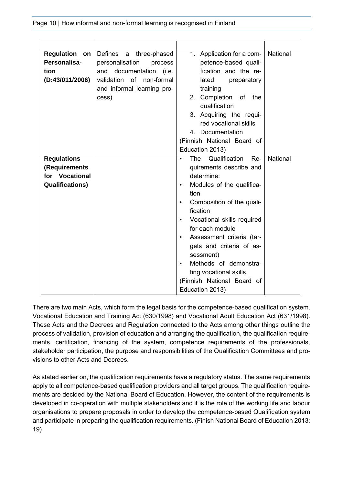| <b>Regulation</b><br>on | Defines<br>$\mathsf{a}$<br>three-phased | 1. Application for a com-                       | National |
|-------------------------|-----------------------------------------|-------------------------------------------------|----------|
| Personalisa-            | personalisation<br>process              | petence-based quali-                            |          |
| tion                    | documentation (i.e.<br>and              | fication and the re-                            |          |
| (D:43/011/2006)         | validation of non-formal                | lated<br>preparatory                            |          |
|                         | and informal learning pro-              | training                                        |          |
|                         | cess)                                   | 2. Completion of<br>the                         |          |
|                         |                                         | qualification                                   |          |
|                         |                                         | 3. Acquiring the requi-                         |          |
|                         |                                         | red vocational skills                           |          |
|                         |                                         | 4. Documentation                                |          |
|                         |                                         | (Finnish National Board of                      |          |
|                         |                                         | Education 2013)                                 |          |
| <b>Regulations</b>      |                                         | Qualification<br><b>The</b><br>Re-<br>$\bullet$ | National |
| (Requirements           |                                         | quirements describe and                         |          |
| for Vocational          |                                         | determine:                                      |          |
| <b>Qualifications)</b>  |                                         | Modules of the qualifica-<br>$\bullet$          |          |
|                         |                                         | tion                                            |          |
|                         |                                         | Composition of the quali-<br>$\bullet$          |          |
|                         |                                         | fication                                        |          |
|                         |                                         | Vocational skills required<br>$\bullet$         |          |
|                         |                                         | for each module                                 |          |
|                         |                                         |                                                 |          |
|                         |                                         | Assessment criteria (tar-<br>$\bullet$          |          |
|                         |                                         | gets and criteria of as-                        |          |
|                         |                                         | sessment)                                       |          |
|                         |                                         | Methods of demonstra-<br>$\bullet$              |          |
|                         |                                         | ting vocational skills.                         |          |
|                         |                                         | (Finnish National Board of                      |          |
|                         |                                         | Education 2013)                                 |          |

There are two main Acts, which form the legal basis for the competence-based qualification system. Vocational Education and Training Act (630/1998) and Vocational Adult Education Act (631/1998). These Acts and the Decrees and Regulation connected to the Acts among other things outline the process of validation, provision of education and arranging the qualification, the qualification requirements, certification, financing of the system, competence requirements of the professionals, stakeholder participation, the purpose and responsibilities of the Qualification Committees and provisions to other Acts and Decrees.

As stated earlier on, the qualification requirements have a regulatory status. The same requirements apply to all competence-based qualification providers and all target groups. The qualification requirements are decided by the National Board of Education. However, the content of the requirements is developed in co-operation with multiple stakeholders and it is the role of the working life and labour organisations to prepare proposals in order to develop the competence-based Qualification system and participate in preparing the qualification requirements. (Finish National Board of Education 2013: 19)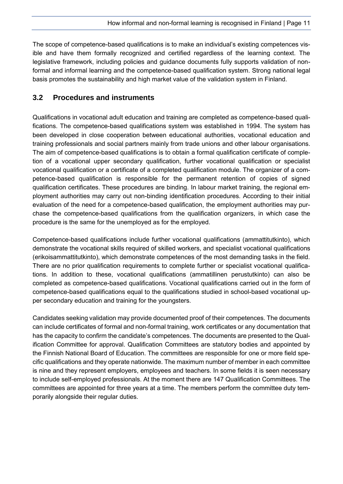The scope of competence-based qualifications is to make an individual's existing competences visible and have them formally recognized and certified regardless of the learning context. The legislative framework, including policies and guidance documents fully supports validation of nonformal and informal learning and the competence-based qualification system. Strong national legal basis promotes the sustainability and high market value of the validation system in Finland.

#### <span id="page-12-0"></span>**3.2 Procedures and instruments**

Qualifications in vocational adult education and training are completed as competence-based qualifications. The competence-based qualifications system was established in 1994. The system has been developed in close cooperation between educational authorities, vocational education and training professionals and social partners mainly from trade unions and other labour organisations. The aim of competence-based qualifications is to obtain a formal qualification certificate of completion of a vocational upper secondary qualification, further vocational qualification or specialist vocational qualification or a certificate of a completed qualification module. The organizer of a competence-based qualification is responsible for the permanent retention of copies of signed qualification certificates. These procedures are binding. In labour market training, the regional employment authorities may carry out non-binding identification procedures. According to their initial evaluation of the need for a competence-based qualification, the employment authorities may purchase the competence-based qualifications from the qualification organizers, in which case the procedure is the same for the unemployed as for the employed.

Competence-based qualifications include further vocational qualifications (ammattitutkinto), which demonstrate the vocational skills required of skilled workers, and specialist vocational qualifications (erikoisammattitutkinto), which demonstrate competences of the most demanding tasks in the field. There are no prior qualification requirements to complete further or specialist vocational qualifications. In addition to these, vocational qualifications (ammatillinen perustutkinto) can also be completed as competence-based qualifications. Vocational qualifications carried out in the form of competence-based qualifications equal to the qualifications studied in school-based vocational upper secondary education and training for the youngsters.

Candidates seeking validation may provide documented proof of their competences. The documents can include certificates of formal and non-formal training, work certificates or any documentation that has the capacity to confirm the candidate's competences. The documents are presented to the Qualification Committee for approval. Qualification Committees are statutory bodies and appointed by the Finnish National Board of Education. The committees are responsible for one or more field specific qualifications and they operate nationwide. The maximum number of member in each committee is nine and they represent employers, employees and teachers. In some fields it is seen necessary to include self-employed professionals. At the moment there are 147 Qualification Committees. The committees are appointed for three years at a time. The members perform the committee duty temporarily alongside their regular duties.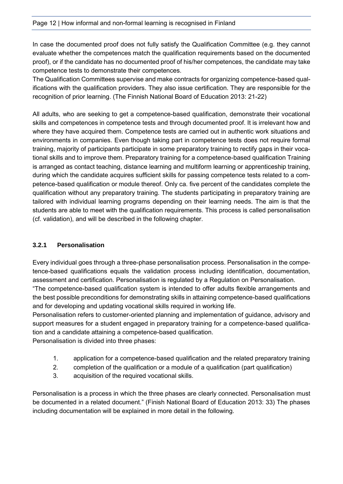In case the documented proof does not fully satisfy the Qualification Committee (e.g. they cannot evaluate whether the competences match the qualification requirements based on the documented proof), or if the candidate has no documented proof of his/her competences, the candidate may take competence tests to demonstrate their competences.

The Qualification Committees supervise and make contracts for organizing competence-based qualifications with the qualification providers. They also issue certification. They are responsible for the recognition of prior learning. (The Finnish National Board of Education 2013: 21-22)

All adults, who are seeking to get a competence-based qualification, demonstrate their vocational skills and competences in competence tests and through documented proof. It is irrelevant how and where they have acquired them. Competence tests are carried out in authentic work situations and environments in companies. Even though taking part in competence tests does not require formal training, majority of participants participate in some preparatory training to rectify gaps in their vocational skills and to improve them. Preparatory training for a competence-based qualification Training is arranged as contact teaching, distance learning and multiform learning or apprenticeship training, during which the candidate acquires sufficient skills for passing competence tests related to a competence-based qualification or module thereof. Only ca. five percent of the candidates complete the qualification without any preparatory training. The students participating in preparatory training are tailored with individual learning programs depending on their learning needs. The aim is that the students are able to meet with the qualification requirements. This process is called personalisation (cf. validation), and will be described in the following chapter.

#### <span id="page-13-0"></span>**3.2.1 Personalisation**

Every individual goes through a three-phase personalisation process. Personalisation in the competence-based qualifications equals the validation process including identification, documentation, assessment and certification. Personalisation is regulated by a Regulation on Personalisation.

"The competence-based qualification system is intended to offer adults flexible arrangements and the best possible preconditions for demonstrating skills in attaining competence-based qualifications and for developing and updating vocational skills required in working life.

Personalisation refers to customer-oriented planning and implementation of guidance, advisory and support measures for a student engaged in preparatory training for a competence-based qualification and a candidate attaining a competence-based qualification.

Personalisation is divided into three phases:

- 1. application for a competence-based qualification and the related preparatory training
- 2. completion of the qualification or a module of a qualification (part qualification)
- 3. acquisition of the required vocational skills.

Personalisation is a process in which the three phases are clearly connected. Personalisation must be documented in a related document." (Finish National Board of Education 2013: 33) The phases including documentation will be explained in more detail in the following.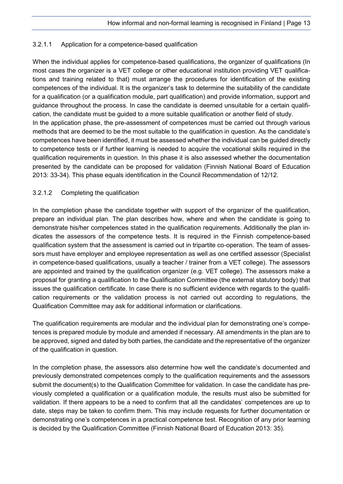#### 3.2.1.1 Application for a competence-based qualification

When the individual applies for competence-based qualifications, the organizer of qualifications (In most cases the organizer is a VET college or other educational institution providing VET qualifications and training related to that) must arrange the procedures for identification of the existing competences of the individual. It is the organizer's task to determine the suitability of the candidate for a qualification (or a qualification module, part qualification) and provide information, support and guidance throughout the process. In case the candidate is deemed unsuitable for a certain qualification, the candidate must be guided to a more suitable qualification or another field of study. In the application phase, the pre-assessment of competences must be carried out through various methods that are deemed to be the most suitable to the qualification in question. As the candidate's competences have been identified, it must be assessed whether the individual can be guided directly to competence tests or if further learning is needed to acquire the vocational skills required in the qualification requirements in question. In this phase it is also assessed whether the documentation presented by the candidate can be proposed for validation (Finnish National Board of Education 2013: 33-34). This phase equals identification in the Council Recommendation of 12/12.

#### 3.2.1.2 Completing the qualification

In the completion phase the candidate together with support of the organizer of the qualification, prepare an individual plan. The plan describes how, where and when the candidate is going to demonstrate his/her competences stated in the qualification requirements. Additionally the plan indicates the assessors of the competence tests. It is required in the Finnish competence-based qualification system that the assessment is carried out in tripartite co-operation. The team of assessors must have employer and employee representation as well as one certified assessor (Specialist in competence-based qualifications, usually a teacher / trainer from a VET college). The assessors are appointed and trained by the qualification organizer (e.g. VET college). The assessors make a proposal for granting a qualification to the Qualification Committee (the external statutory body) that issues the qualification certificate. In case there is no sufficient evidence with regards to the qualification requirements or the validation process is not carried out according to regulations, the Qualification Committee may ask for additional information or clarifications.

The qualification requirements are modular and the individual plan for demonstrating one's competences is prepared module by module and amended if necessary. All amendments in the plan are to be approved, signed and dated by both parties, the candidate and the representative of the organizer of the qualification in question.

In the completion phase, the assessors also determine how well the candidate's documented and previously demonstrated competences comply to the qualification requirements and the assessors submit the document(s) to the Qualification Committee for validation. In case the candidate has previously completed a qualification or a qualification module, the results must also be submitted for validation. If there appears to be a need to confirm that all the candidates' competences are up to date, steps may be taken to confirm them. This may include requests for further documentation or demonstrating one's competences in a practical competence test. Recognition of any prior learning is decided by the Qualification Committee (Finnish National Board of Education 2013: 35).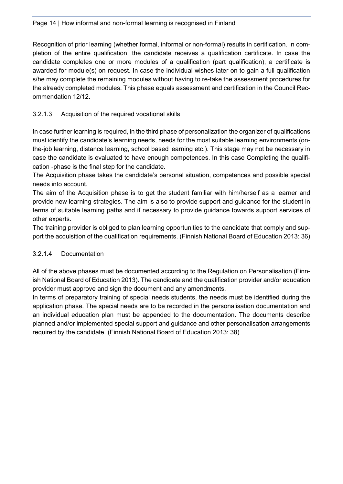Recognition of prior learning (whether formal, informal or non-formal) results in certification. In completion of the entire qualification, the candidate receives a qualification certificate. In case the candidate completes one or more modules of a qualification (part qualification), a certificate is awarded for module(s) on request. In case the individual wishes later on to gain a full qualification s/he may complete the remaining modules without having to re-take the assessment procedures for the already completed modules. This phase equals assessment and certification in the Council Recommendation 12/12.

#### 3.2.1.3 Acquisition of the required vocational skills

In case further learning is required, in the third phase of personalization the organizer of qualifications must identify the candidate's learning needs, needs for the most suitable learning environments (onthe-job learning, distance learning, school based learning etc.). This stage may not be necessary in case the candidate is evaluated to have enough competences. In this case Completing the qualification -phase is the final step for the candidate.

The Acquisition phase takes the candidate's personal situation, competences and possible special needs into account.

The aim of the Acquisition phase is to get the student familiar with him/herself as a learner and provide new learning strategies. The aim is also to provide support and guidance for the student in terms of suitable learning paths and if necessary to provide guidance towards support services of other experts.

The training provider is obliged to plan learning opportunities to the candidate that comply and support the acquisition of the qualification requirements. (Finnish National Board of Education 2013: 36)

#### 3.2.1.4 Documentation

All of the above phases must be documented according to the Regulation on Personalisation (Finnish National Board of Education 2013). The candidate and the qualification provider and/or education provider must approve and sign the document and any amendments.

In terms of preparatory training of special needs students, the needs must be identified during the application phase. The special needs are to be recorded in the personalisation documentation and an individual education plan must be appended to the documentation. The documents describe planned and/or implemented special support and guidance and other personalisation arrangements required by the candidate. (Finnish National Board of Education 2013: 38)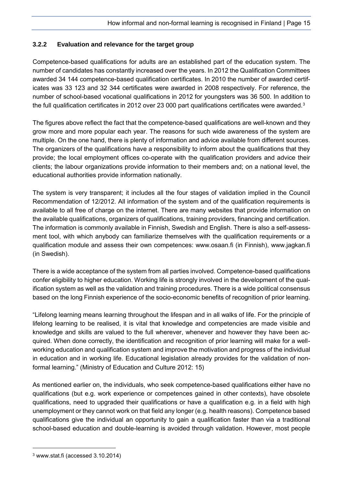#### <span id="page-16-0"></span>**3.2.2 Evaluation and relevance for the target group**

Competence-based qualifications for adults are an established part of the education system. The number of candidates has constantly increased over the years. In 2012 the Qualification Committees awarded 34 144 competence-based qualification certificates. In 2010 the number of awarded certificates was 33 123 and 32 344 certificates were awarded in 2008 respectively. For reference, the number of school-based vocational qualifications in 2012 for youngsters was 36 500. In addition to the full qualification certificates in 2012 over 23 000 part qualifications certificates were awarded.<sup>3</sup>

The figures above reflect the fact that the competence-based qualifications are well-known and they grow more and more popular each year. The reasons for such wide awareness of the system are multiple. On the one hand, there is plenty of information and advice available from different sources. The organizers of the qualifications have a responsibility to inform about the qualifications that they provide; the local employment offices co-operate with the qualification providers and advice their clients; the labour organizations provide information to their members and; on a national level, the educational authorities provide information nationally.

The system is very transparent; it includes all the four stages of validation implied in the Council Recommendation of 12/2012. All information of the system and of the qualification requirements is available to all free of charge on the internet. There are many websites that provide information on the available qualifications, organizers of qualifications, training providers, financing and certification. The information is commonly available in Finnish, Swedish and English. There is also a self-assessment tool, with which anybody can familiarize themselves with the qualification requirements or a qualification module and assess their own competences: www.osaan.fi (in Finnish), www.jagkan.fi (in Swedish).

There is a wide acceptance of the system from all parties involved. Competence-based qualifications confer eligibility to higher education. Working life is strongly involved in the development of the qualification system as well as the validation and training procedures. There is a wide political consensus based on the long Finnish experience of the socio-economic benefits of recognition of prior learning.

"Lifelong learning means learning throughout the lifespan and in all walks of life. For the principle of lifelong learning to be realised, it is vital that knowledge and competencies are made visible and knowledge and skills are valued to the full wherever, whenever and however they have been acquired. When done correctly, the identification and recognition of prior learning will make for a wellworking education and qualification system and improve the motivation and progress of the individual in education and in working life. Educational legislation already provides for the validation of nonformal learning." (Ministry of Education and Culture 2012: 15)

As mentioned earlier on, the individuals, who seek competence-based qualifications either have no qualifications (but e.g. work experience or competences gained in other contexts), have obsolete qualifications, need to upgraded their qualifications or have a qualification e.g. in a field with high unemployment or they cannot work on that field any longer (e.g. health reasons). Competence based qualifications give the individual an opportunity to gain a qualification faster than via a traditional school-based education and double-learning is avoided through validation. However, most people

-

<sup>3</sup> www.stat.fi (accessed 3.10.2014)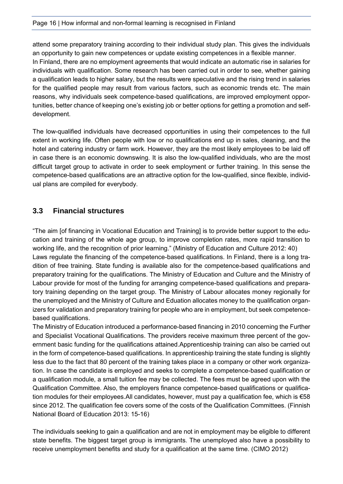attend some preparatory training according to their individual study plan. This gives the individuals an opportunity to gain new competences or update existing competences in a flexible manner. In Finland, there are no employment agreements that would indicate an automatic rise in salaries for individuals with qualification. Some research has been carried out in order to see, whether gaining a qualification leads to higher salary, but the results were speculative and the rising trend in salaries for the qualified people may result from various factors, such as economic trends etc. The main reasons, why individuals seek competence-based qualifications, are improved employment opportunities, better chance of keeping one's existing job or better options for getting a promotion and selfdevelopment.

The low-qualified individuals have decreased opportunities in using their competences to the full extent in working life. Often people with low or no qualifications end up in sales, cleaning, and the hotel and catering industry or farm work. However, they are the most likely employees to be laid off in case there is an economic downswing. It is also the low-qualified individuals, who are the most difficult target group to activate in order to seek employment or further training. In this sense the competence-based qualifications are an attractive option for the low-qualified, since flexible, individual plans are compiled for everybody.

#### <span id="page-17-0"></span>**3.3 Financial structures**

"The aim [of financing in Vocational Education and Training] is to provide better support to the education and training of the whole age group, to improve completion rates, more rapid transition to working life, and the recognition of prior learning." (Ministry of Education and Culture 2012: 40) Laws regulate the financing of the competence-based qualifications. In Finland, there is a long tradition of free training. State funding is available also for the competence-based qualifications and preparatory training for the qualifications. The Ministry of Education and Culture and the Ministry of Labour provide for most of the funding for arranging competence-based qualifications and preparatory training depending on the target group. The Ministry of Labour allocates money regionally for the unemployed and the Ministry of Culture and Eduation allocates money to the qualification organizers for validation and preparatory training for people who are in employment, but seek competencebased qualifications.

The Ministry of Education introduced a performance-based financing in 2010 concerning the Further and Specialist Vocational Qualifications. The providers receive maximum three percent of the government basic funding for the qualifications attained.Apprenticeship training can also be carried out in the form of competence-based qualifications. In apprenticeship training the state funding is slightly less due to the fact that 80 percent of the training takes place in a company or other work organization. In case the candidate is employed and seeks to complete a competence-based qualification or a qualification module, a small tuition fee may be collected. The fees must be agreed upon with the Qualification Committee. Also, the employers finance competence-based qualifications or qualification modules for their employees.All candidates, however, must pay a qualification fee, which is €58 since 2012. The qualification fee covers some of the costs of the Qualification Committees. (Finnish National Board of Education 2013: 15-16)

The individuals seeking to gain a qualification and are not in employment may be eligible to different state benefits. The biggest target group is immigrants. The unemployed also have a possibility to receive unemployment benefits and study for a qualification at the same time. (CIMO 2012)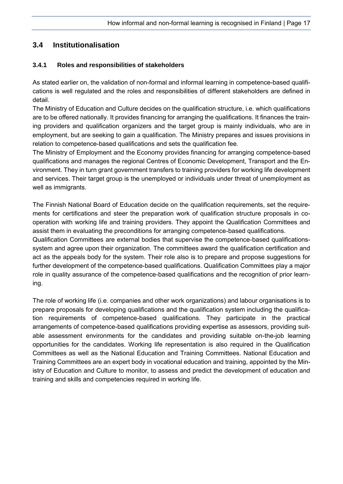### <span id="page-18-0"></span>**3.4 Institutionalisation**

#### <span id="page-18-1"></span>**3.4.1 Roles and responsibilities of stakeholders**

As stated earlier on, the validation of non-formal and informal learning in competence-based qualifications is well regulated and the roles and responsibilities of different stakeholders are defined in detail.

The Ministry of Education and Culture decides on the qualification structure, i.e. which qualifications are to be offered nationally. It provides financing for arranging the qualifications. It finances the training providers and qualification organizers and the target group is mainly individuals, who are in employment, but are seeking to gain a qualification. The Ministry prepares and issues provisions in relation to competence-based qualifications and sets the qualification fee.

The Ministry of Employment and the Economy provides financing for arranging competence-based qualifications and manages the regional Centres of Economic Development, Transport and the Environment. They in turn grant government transfers to training providers for working life development and services. Their target group is the unemployed or individuals under threat of unemployment as well as immigrants.

The Finnish National Board of Education decide on the qualification requirements, set the requirements for certifications and steer the preparation work of qualification structure proposals in cooperation with working life and training providers. They appoint the Qualification Committees and assist them in evaluating the preconditions for arranging competence-based qualifications.

Qualification Committees are external bodies that supervise the competence-based qualificationssystem and agree upon their organization. The committees award the qualification certification and act as the appeals body for the system. Their role also is to prepare and propose suggestions for further development of the competence-based qualifications. Qualification Committees play a major role in quality assurance of the competence-based qualifications and the recognition of prior learning.

The role of working life (i.e. companies and other work organizations) and labour organisations is to prepare proposals for developing qualifications and the qualification system including the qualification requirements of competence-based qualifications. They participate in the practical arrangements of competence-based qualifications providing expertise as assessors, providing suitable assessment environments for the candidates and providing suitable on-the-job learning opportunities for the candidates. Working life representation is also required in the Qualification Committees as well as the National Education and Training Committees. National Education and Training Committees are an expert body in vocational education and training, appointed by the Ministry of Education and Culture to monitor, to assess and predict the development of education and training and skills and competencies required in working life.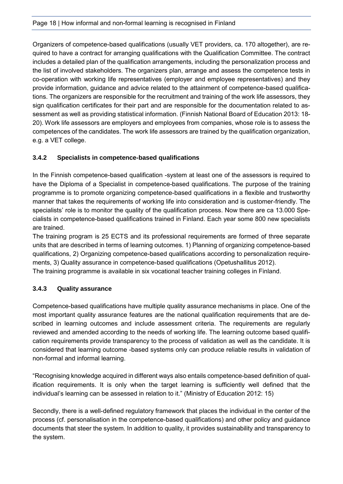Organizers of competence-based qualifications (usually VET providers, ca. 170 altogether), are required to have a contract for arranging qualifications with the Qualification Committee. The contract includes a detailed plan of the qualification arrangements, including the personalization process and the list of involved stakeholders. The organizers plan, arrange and assess the competence tests in co-operation with working life representatives (employer and employee representatives) and they provide information, guidance and advice related to the attainment of competence-based qualifications. The organizers are responsible for the recruitment and training of the work life assessors, they sign qualification certificates for their part and are responsible for the documentation related to assessment as well as providing statistical information. (Finnish National Board of Education 2013: 18- 20). Work life assessors are employers and employees from companies, whose role is to assess the competences of the candidates. The work life assessors are trained by the qualification organization, e.g. a VET college.

#### <span id="page-19-0"></span>**3.4.2 Specialists in competence-based qualifications**

In the Finnish competence-based qualification -system at least one of the assessors is required to have the Diploma of a Specialist in competence-based qualifications. The purpose of the training programme is to promote organizing competence-based qualifications in a flexible and trustworthy manner that takes the requirements of working life into consideration and is customer-friendly. The specialists' role is to monitor the quality of the qualification process. Now there are ca 13.000 Specialists in competence-based qualifications trained in Finland. Each year some 800 new specialists are trained.

The training program is 25 ECTS and its professional requirements are formed of three separate units that are described in terms of learning outcomes. 1) Planning of organizing competence-based qualifications, 2) Organizing competence-based qualifications according to personalization requirements, 3) Quality assurance in competence-based qualifications (Opetushallitus 2012).

The training programme is available in six vocational teacher training colleges in Finland.

#### <span id="page-19-1"></span>**3.4.3 Quality assurance**

Competence-based qualifications have multiple quality assurance mechanisms in place. One of the most important quality assurance features are the national qualification requirements that are described in learning outcomes and include assessment criteria. The requirements are regularly reviewed and amended according to the needs of working life. The learning outcome based qualification requirements provide transparency to the process of validation as well as the candidate. It is considered that learning outcome -based systems only can produce reliable results in validation of non-formal and informal learning.

"Recognising knowledge acquired in different ways also entails competence-based definition of qualification requirements. It is only when the target learning is sufficiently well defined that the individual's learning can be assessed in relation to it." (Ministry of Education 2012: 15)

Secondly, there is a well-defined regulatory framework that places the individual in the center of the process (cf. personalisation in the competence-based qualifications) and other policy and guidance documents that steer the system. In addition to quality, it provides sustainability and transparency to the system.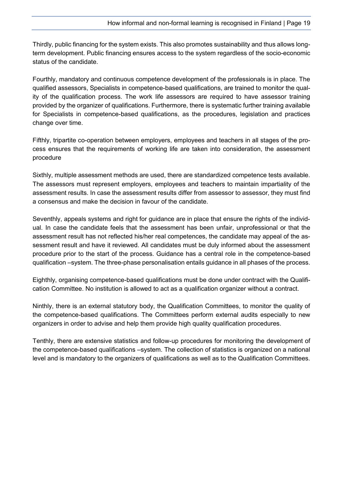Thirdly, public financing for the system exists. This also promotes sustainability and thus allows longterm development. Public financing ensures access to the system regardless of the socio-economic status of the candidate.

Fourthly, mandatory and continuous competence development of the professionals is in place. The qualified assessors, Specialists in competence-based qualifications, are trained to monitor the quality of the qualification process. The work life assessors are required to have assessor training provided by the organizer of qualifications. Furthermore, there is systematic further training available for Specialists in competence-based qualifications, as the procedures, legislation and practices change over time.

Fifthly, tripartite co-operation between employers, employees and teachers in all stages of the process ensures that the requirements of working life are taken into consideration, the assessment procedure

Sixthly, multiple assessment methods are used, there are standardized competence tests available. The assessors must represent employers, employees and teachers to maintain impartiality of the assessment results. In case the assessment results differ from assessor to assessor, they must find a consensus and make the decision in favour of the candidate.

Seventhly, appeals systems and right for guidance are in place that ensure the rights of the individual. In case the candidate feels that the assessment has been unfair, unprofessional or that the assessment result has not reflected his/her real competences, the candidate may appeal of the assessment result and have it reviewed. All candidates must be duly informed about the assessment procedure prior to the start of the process. Guidance has a central role in the competence-based qualification –system. The three-phase personalisation entails guidance in all phases of the process.

Eighthly, organising competence-based qualifications must be done under contract with the Qualification Committee. No institution is allowed to act as a qualification organizer without a contract.

Ninthly, there is an external statutory body, the Qualification Committees, to monitor the quality of the competence-based qualifications. The Committees perform external audits especially to new organizers in order to advise and help them provide high quality qualification procedures.

Tenthly, there are extensive statistics and follow-up procedures for monitoring the development of the competence-based qualifications –system. The collection of statistics is organized on a national level and is mandatory to the organizers of qualifications as well as to the Qualification Committees.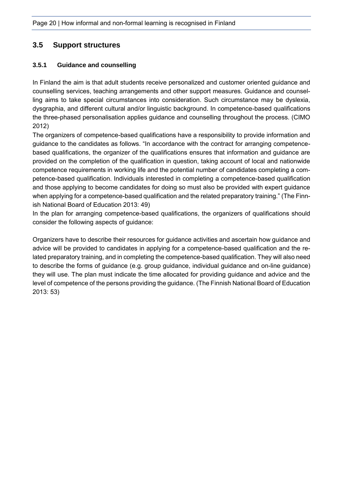#### <span id="page-21-0"></span>**3.5 Support structures**

#### <span id="page-21-1"></span>**3.5.1 Guidance and counselling**

In Finland the aim is that adult students receive personalized and customer oriented guidance and counselling services, teaching arrangements and other support measures. Guidance and counselling aims to take special circumstances into consideration. Such circumstance may be dyslexia, dysgraphia, and different cultural and/or linguistic background. In competence-based qualifications the three-phased personalisation applies guidance and counselling throughout the process. (CIMO 2012)

The organizers of competence-based qualifications have a responsibility to provide information and guidance to the candidates as follows. "In accordance with the contract for arranging competencebased qualifications, the organizer of the qualifications ensures that information and guidance are provided on the completion of the qualification in question, taking account of local and nationwide competence requirements in working life and the potential number of candidates completing a competence-based qualification. Individuals interested in completing a competence-based qualification and those applying to become candidates for doing so must also be provided with expert guidance when applying for a competence-based qualification and the related preparatory training." (The Finnish National Board of Education 2013: 49)

In the plan for arranging competence-based qualifications, the organizers of qualifications should consider the following aspects of guidance:

Organizers have to describe their resources for guidance activities and ascertain how guidance and advice will be provided to candidates in applying for a competence-based qualification and the related preparatory training, and in completing the competence-based qualification. They will also need to describe the forms of guidance (e.g. group guidance, individual guidance and on-line guidance) they will use. The plan must indicate the time allocated for providing guidance and advice and the level of competence of the persons providing the guidance. (The Finnish National Board of Education 2013: 53)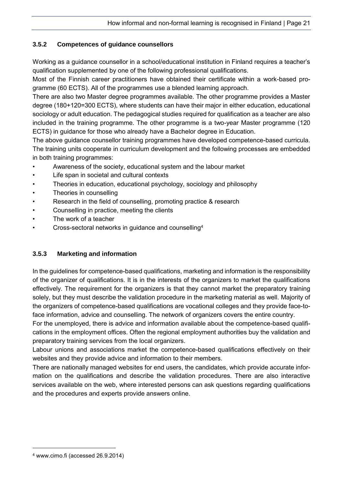#### <span id="page-22-0"></span>**3.5.2 Competences of guidance counsellors**

Working as a guidance counsellor in a school/educational institution in Finland requires a teacher's qualification supplemented by one of the following professional qualifications.

Most of the Finnish career practitioners have obtained their certificate within a work-based programme (60 ECTS). All of the programmes use a blended learning approach.

There are also two Master degree programmes available. The other programme provides a Master degree (180+120=300 ECTS), where students can have their major in either education, educational sociology or adult education. The pedagogical studies required for qualification as a teacher are also included in the training programme. The other programme is a two-year Master programme (120 ECTS) in guidance for those who already have a Bachelor degree in Education.

The above guidance counsellor training programmes have developed competence-based curricula. The training units cooperate in curriculum development and the following processes are embedded in both training programmes:

- Awareness of the society, educational system and the labour market
- Life span in societal and cultural contexts
- Theories in education, educational psychology, sociology and philosophy
- Theories in counselling
- Research in the field of counselling, promoting practice & research
- Counselling in practice, meeting the clients
- The work of a teacher
- Cross-sectoral networks in guidance and counselling<sup>4</sup>

#### <span id="page-22-1"></span>**3.5.3 Marketing and information**

In the guidelines for competence-based qualifications, marketing and information is the responsibility of the organizer of qualifications. It is in the interests of the organizers to market the qualifications effectively. The requirement for the organizers is that they cannot market the preparatory training solely, but they must describe the validation procedure in the marketing material as well. Majority of the organizers of competence-based qualifications are vocational colleges and they provide face-toface information, advice and counselling. The network of organizers covers the entire country.

For the unemployed, there is advice and information available about the competence-based qualifications in the employment offices. Often the regional employment authorities buy the validation and preparatory training services from the local organizers.

Labour unions and associations market the competence-based qualifications effectively on their websites and they provide advice and information to their members.

There are nationally managed websites for end users, the candidates, which provide accurate information on the qualifications and describe the validation procedures. There are also interactive services available on the web, where interested persons can ask questions regarding qualifications and the procedures and experts provide answers online.

-

<sup>4</sup> www.cimo.fi (accessed 26.9.2014)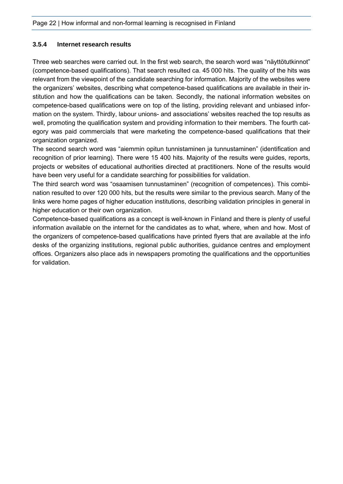#### <span id="page-23-0"></span>**3.5.4 Internet research results**

Three web searches were carried out. In the first web search, the search word was "näyttötutkinnot" (competence-based qualifications). That search resulted ca. 45 000 hits. The quality of the hits was relevant from the viewpoint of the candidate searching for information. Majority of the websites were the organizers' websites, describing what competence-based qualifications are available in their institution and how the qualifications can be taken. Secondly, the national information websites on competence-based qualifications were on top of the listing, providing relevant and unbiased information on the system. Thirdly, labour unions- and associations' websites reached the top results as well, promoting the qualification system and providing information to their members. The fourth category was paid commercials that were marketing the competence-based qualifications that their organization organized.

The second search word was "aiemmin opitun tunnistaminen ja tunnustaminen" (identification and recognition of prior learning). There were 15 400 hits. Majority of the results were guides, reports, projects or websites of educational authorities directed at practitioners. None of the results would have been very useful for a candidate searching for possibilities for validation.

The third search word was "osaamisen tunnustaminen" (recognition of competences). This combination resulted to over 120 000 hits, but the results were similar to the previous search. Many of the links were home pages of higher education institutions, describing validation principles in general in higher education or their own organization.

Competence-based qualifications as a concept is well-known in Finland and there is plenty of useful information available on the internet for the candidates as to what, where, when and how. Most of the organizers of competence-based qualifications have printed flyers that are available at the info desks of the organizing institutions, regional public authorities, guidance centres and employment offices. Organizers also place ads in newspapers promoting the qualifications and the opportunities for validation.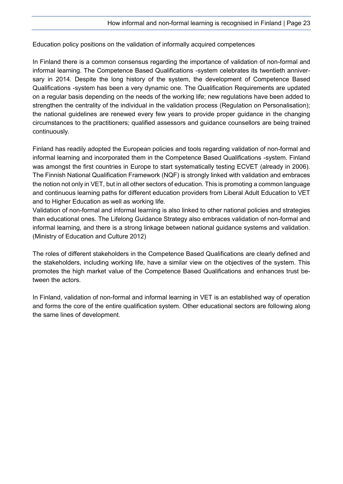Education policy positions on the validation of informally acquired competences

In Finland there is a common consensus regarding the importance of validation of non-formal and informal learning. The Competence Based Qualifications -system celebrates its twentieth anniversary in 2014. Despite the long history of the system, the development of Competence Based Qualifications -system has been a very dynamic one. The Qualification Requirements are updated on a regular basis depending on the needs of the working life; new regulations have been added to strengthen the centrality of the individual in the validation process (Regulation on Personalisation); the national guidelines are renewed every few years to provide proper guidance in the changing circumstances to the practitioners; qualified assessors and guidance counsellors are being trained continuously.

Finland has readily adopted the European policies and tools regarding validation of non-formal and informal learning and incorporated them in the Competence Based Qualifications -system. Finland was amongst the first countries in Europe to start systematically testing ECVET (already in 2006). The Finnish National Qualification Framework (NQF) is strongly linked with validation and embraces the notion not only in VET, but in all other sectors of education. This is promoting a common language and continuous learning paths for different education providers from Liberal Adult Education to VET and to Higher Education as well as working life.

Validation of non-formal and informal learning is also linked to other national policies and strategies than educational ones. The Lifelong Guidance Strategy also embraces validation of non-formal and informal learning, and there is a strong linkage between national guidance systems and validation. (Ministry of Education and Culture 2012)

The roles of different stakeholders in the Competence Based Qualifications are clearly defined and the stakeholders, including working life, have a similar view on the objectives of the system. This promotes the high market value of the Competence Based Qualifications and enhances trust between the actors.

In Finland, validation of non-formal and informal learning in VET is an established way of operation and forms the core of the entire qualification system. Other educational sectors are following along the same lines of development.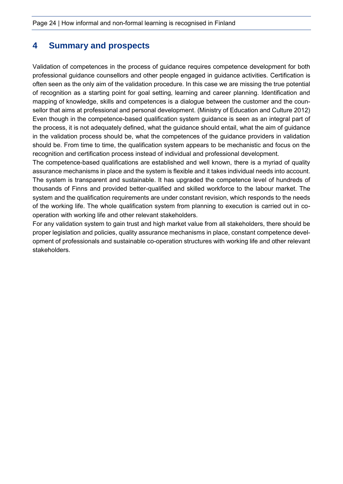## <span id="page-25-0"></span>**4 Summary and prospects**

Validation of competences in the process of guidance requires competence development for both professional guidance counsellors and other people engaged in guidance activities. Certification is often seen as the only aim of the validation procedure. In this case we are missing the true potential of recognition as a starting point for goal setting, learning and career planning. Identification and mapping of knowledge, skills and competences is a dialogue between the customer and the counsellor that aims at professional and personal development. (Ministry of Education and Culture 2012) Even though in the competence-based qualification system guidance is seen as an integral part of the process, it is not adequately defined, what the guidance should entail, what the aim of guidance in the validation process should be, what the competences of the guidance providers in validation should be. From time to time, the qualification system appears to be mechanistic and focus on the recognition and certification process instead of individual and professional development.

The competence-based qualifications are established and well known, there is a myriad of quality assurance mechanisms in place and the system is flexible and it takes individual needs into account. The system is transparent and sustainable. It has upgraded the competence level of hundreds of thousands of Finns and provided better-qualified and skilled workforce to the labour market. The system and the qualification requirements are under constant revision, which responds to the needs of the working life. The whole qualification system from planning to execution is carried out in cooperation with working life and other relevant stakeholders.

For any validation system to gain trust and high market value from all stakeholders, there should be proper legislation and policies, quality assurance mechanisms in place, constant competence development of professionals and sustainable co-operation structures with working life and other relevant stakeholders.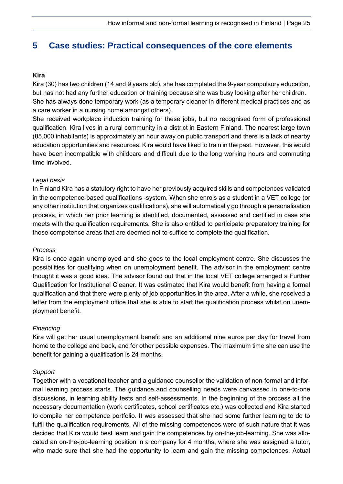## <span id="page-26-0"></span>**5 Case studies: Practical consequences of the core elements**

#### **Kira**

Kira (30) has two children (14 and 9 years old), she has completed the 9-year compulsory education, but has not had any further education or training because she was busy looking after her children. She has always done temporary work (as a temporary cleaner in different medical practices and as a care worker in a nursing home amongst others).

She received workplace induction training for these jobs, but no recognised form of professional qualification. Kira lives in a rural community in a district in Eastern Finland. The nearest large town (85,000 inhabitants) is approximately an hour away on public transport and there is a lack of nearby education opportunities and resources. Kira would have liked to train in the past. However, this would have been incompatible with childcare and difficult due to the long working hours and commuting time involved.

#### *Legal basis*

In Finland Kira has a statutory right to have her previously acquired skills and competences validated in the competence-based qualifications -system. When she enrols as a student in a VET college (or any other institution that organizes qualifications), she will automatically go through a personalisation process, in which her prior learning is identified, documented, assessed and certified in case she meets with the qualification requirements. She is also entitled to participate preparatory training for those competence areas that are deemed not to suffice to complete the qualification.

#### *Process*

Kira is once again unemployed and she goes to the local employment centre. She discusses the possibilities for qualifying when on unemployment benefit. The advisor in the employment centre thought it was a good idea. The advisor found out that in the local VET college arranged a Further Qualification for Institutional Cleaner. It was estimated that Kira would benefit from having a formal qualification and that there were plenty of job opportunities in the area. After a while, she received a letter from the employment office that she is able to start the qualification process whilst on unemployment benefit.

#### *Financing*

Kira will get her usual unemployment benefit and an additional nine euros per day for travel from home to the college and back, and for other possible expenses. The maximum time she can use the benefit for gaining a qualification is 24 months.

#### *Support*

Together with a vocational teacher and a guidance counsellor the validation of non-formal and informal learning process starts. The guidance and counselling needs were canvassed in one-to-one discussions, in learning ability tests and self-assessments. In the beginning of the process all the necessary documentation (work certificates, school certificates etc.) was collected and Kira started to compile her competence portfolio. It was assessed that she had some further learning to do to fulfil the qualification requirements. All of the missing competences were of such nature that it was decided that Kira would best learn and gain the competences by on-the-job-learning. She was allocated an on-the-job-learning position in a company for 4 months, where she was assigned a tutor, who made sure that she had the opportunity to learn and gain the missing competences. Actual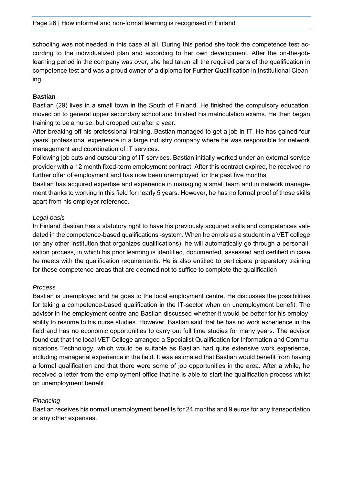schooling was not needed in this case at all. During this period she took the competence test according to the individualized plan and according to her own development. After the on-the-joblearning period in the company was over, she had taken all the required parts of the qualification in competence test and was a proud owner of a diploma for Further Qualification in Institutional Cleaning.

#### **Bastian**

Bastian (29) lives in a small town in the South of Finland. He finished the compulsory education, moved on to general upper secondary school and finished his matriculation exams. He then began training to be a nurse, but dropped out after a year.

After breaking off his professional training, Bastian managed to get a job in IT. He has gained four years' professional experience in a large industry company where he was responsible for network management and coordination of IT services.

Following job cuts and outsourcing of IT services, Bastian initially worked under an external service provider with a 12 month fixed-term employment contract. After this contract expired, he received no further offer of employment and has now been unemployed for the past five months.

Bastian has acquired expertise and experience in managing a small team and in network management thanks to working in this field for nearly 5 years. However, he has no formal proof of these skills apart from his employer reference.

#### *Legal basis*

In Finland Bastian has a statutory right to have his previously acquired skills and competences validated in the competence-based qualifications -system. When he enrols as a student in a VET college (or any other institution that organizes qualifications), he will automatically go through a personalisation process, in which his prior learning is identified, documented, assessed and certified in case he meets with the qualification requirements. He is also entitled to participate preparatory training for those competence areas that are deemed not to suffice to complete the qualification

#### *Process*

Bastian is unemployed and he goes to the local employment centre. He discusses the possibilities for taking a competence-based qualification in the IT-sector when on unemployment benefit. The advisor in the employment centre and Bastian discussed whether it would be better for his employability to resume to his nurse studies. However, Bastian said that he has no work experience in the field and has no economic opportunities to carry out full time studies for many years. The advisor found out that the local VET College arranged a Specialist Qualification for Information and Communications Technology, which would be suitable as Bastian had quite extensive work experience, including managerial experience in the field. It was estimated that Bastian would benefit from having a formal qualification and that there were some of job opportunities in the area. After a while, he received a letter from the employment office that he is able to start the qualification process whilst on unemployment benefit.

#### *Financing*

Bastian receives his normal unemployment benefits for 24 months and 9 euros for any transportation or any other expenses.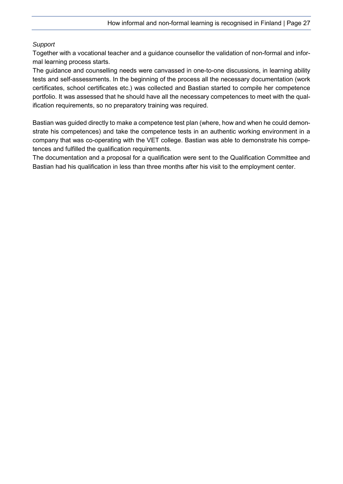#### *Support*

Together with a vocational teacher and a guidance counsellor the validation of non-formal and informal learning process starts.

The guidance and counselling needs were canvassed in one-to-one discussions, in learning ability tests and self-assessments. In the beginning of the process all the necessary documentation (work certificates, school certificates etc.) was collected and Bastian started to compile her competence portfolio. It was assessed that he should have all the necessary competences to meet with the qualification requirements, so no preparatory training was required.

Bastian was guided directly to make a competence test plan (where, how and when he could demonstrate his competences) and take the competence tests in an authentic working environment in a company that was co-operating with the VET college. Bastian was able to demonstrate his competences and fulfilled the qualification requirements.

The documentation and a proposal for a qualification were sent to the Qualification Committee and Bastian had his qualification in less than three months after his visit to the employment center.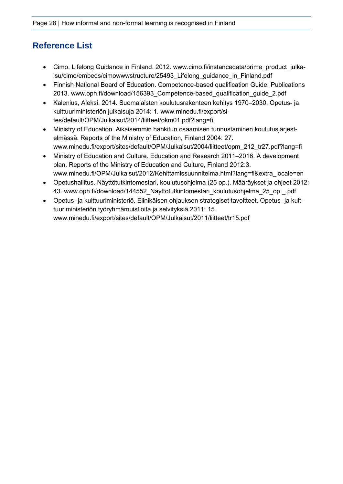## <span id="page-29-0"></span>**Reference List**

- Cimo. Lifelong Guidance in Finland. 2012. www.cimo.fi/instancedata/prime\_product\_julkaisu/cimo/embeds/cimowwwstructure/25493\_Lifelong\_guidance\_in\_Finland.pdf
- Finnish National Board of Education. Competence-based qualification Guide. Publications 2013. www.oph.fi/download/156393\_Competence-based\_qualification\_guide\_2.pdf
- Kalenius, Aleksi. 2014. Suomalaisten koulutusrakenteen kehitys 1970–2030. Opetus- ja kulttuuriministeriön julkaisuja 2014: 1. www.minedu.fi/export/sites/default/OPM/Julkaisut/2014/liitteet/okm01.pdf?lang=fi
- Ministry of Education. Aikaisemmin hankitun osaamisen tunnustaminen koulutusjärjestelmässä. Reports of the Ministry of Education, Finland 2004: 27. www.minedu.fi/export/sites/default/OPM/Julkaisut/2004/liitteet/opm\_212\_tr27.pdf?lang=fi
- Ministry of Education and Culture. Education and Research 2011–2016. A development plan. Reports of the Ministry of Education and Culture, Finland 2012:3. www.minedu.fi/OPM/Julkaisut/2012/Kehittamissuunnitelma.html?lang=fi&extra\_locale=en
- Opetushallitus. Näyttötutkintomestari, koulutusohjelma (25 op.). Määräykset ja ohjeet 2012: 43. www.oph.fi/download/144552\_Nayttotutkintomestari\_koulutusohjelma\_25\_op.\_.pdf
- Opetus- ja kulttuuriministeriö. Elinikäisen ohjauksen strategiset tavoitteet. Opetus- ja kulttuuriministeriön työryhmämuistioita ja selvityksiä 2011: 15. www.minedu.fi/export/sites/default/OPM/Julkaisut/2011/liitteet/tr15.pdf